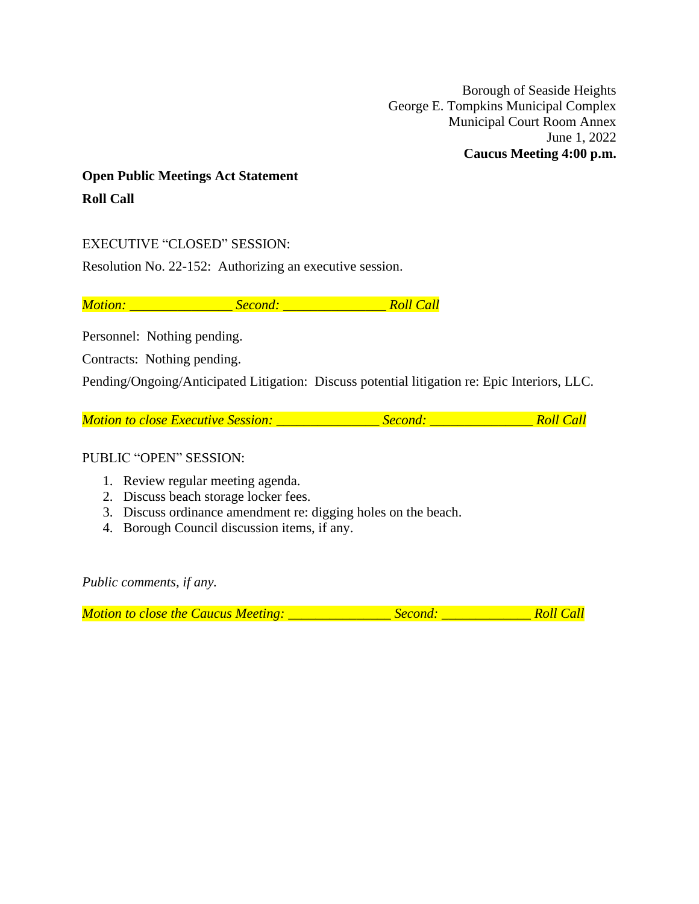Borough of Seaside Heights George E. Tompkins Municipal Complex Municipal Court Room Annex June 1, 2022 **Caucus Meeting 4:00 p.m.**

# **Open Public Meetings Act Statement Roll Call**

## EXECUTIVE "CLOSED" SESSION:

Resolution No. 22-152: Authorizing an executive session.

*Motion: \_\_\_\_\_\_\_\_\_\_\_\_\_\_\_ Second: \_\_\_\_\_\_\_\_\_\_\_\_\_\_\_ Roll Call*

Personnel: Nothing pending.

Contracts: Nothing pending.

Pending/Ongoing/Anticipated Litigation: Discuss potential litigation re: Epic Interiors, LLC.

*Motion to close Executive Session: \_\_\_\_\_\_\_\_\_\_\_\_\_\_\_ Second: \_\_\_\_\_\_\_\_\_\_\_\_\_\_\_ Roll Call*

#### PUBLIC "OPEN" SESSION:

- 1. Review regular meeting agenda.
- 2. Discuss beach storage locker fees.
- 3. Discuss ordinance amendment re: digging holes on the beach.
- 4. Borough Council discussion items, if any.

*Public comments, if any.*

*Motion to close the Caucus Meeting: \_\_\_\_\_\_\_\_\_\_\_\_\_\_\_ Second: \_\_\_\_\_\_\_\_\_\_\_\_\_ Roll Call*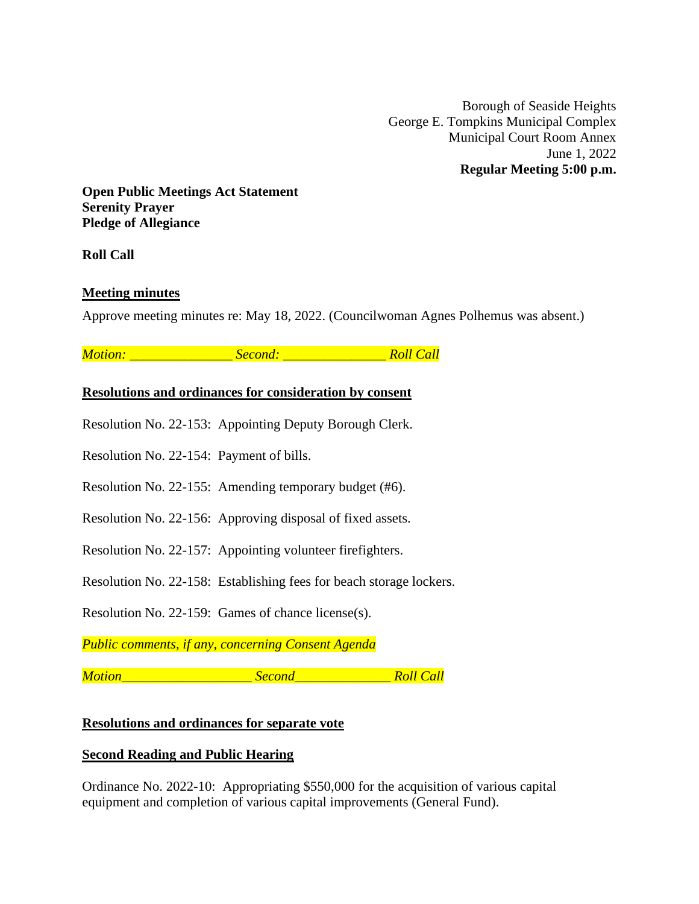Borough of Seaside Heights George E. Tompkins Municipal Complex Municipal Court Room Annex June 1, 2022 **Regular Meeting 5:00 p.m.**

**Open Public Meetings Act Statement Serenity Prayer Pledge of Allegiance**

**Roll Call**

# **Meeting minutes**

Approve meeting minutes re: May 18, 2022. (Councilwoman Agnes Polhemus was absent.)

*Motion: \_\_\_\_\_\_\_\_\_\_\_\_\_\_\_ Second: \_\_\_\_\_\_\_\_\_\_\_\_\_\_\_ Roll Call*

# **Resolutions and ordinances for consideration by consent**

Resolution No. 22-153: Appointing Deputy Borough Clerk.

Resolution No. 22-154: Payment of bills.

Resolution No. 22-155: Amending temporary budget (#6).

Resolution No. 22-156: Approving disposal of fixed assets.

Resolution No. 22-157: Appointing volunteer firefighters.

Resolution No. 22-158: Establishing fees for beach storage lockers.

Resolution No. 22-159: Games of chance license(s).

*Public comments, if any, concerning Consent Agenda*

*Motion\_\_\_\_\_\_\_\_\_\_\_\_\_\_\_\_\_\_\_ Second\_\_\_\_\_\_\_\_\_\_\_\_\_\_ Roll Call*

#### **Resolutions and ordinances for separate vote**

#### **Second Reading and Public Hearing**

Ordinance No. 2022-10: Appropriating \$550,000 for the acquisition of various capital equipment and completion of various capital improvements (General Fund).